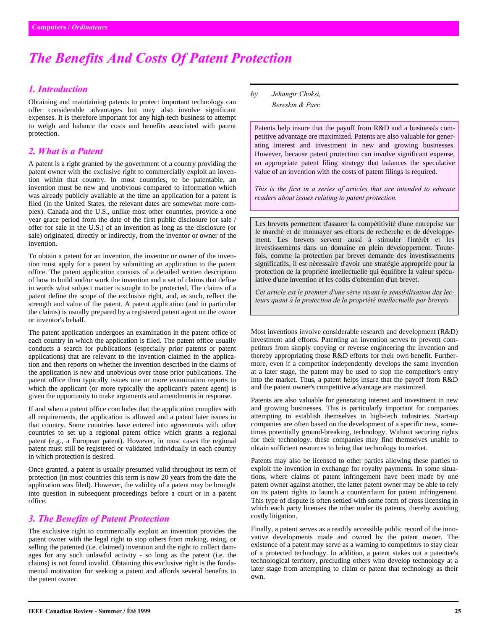# *The Benefits And Costs Of Patent Protection*

#### *1. Introduction*

Obtaining and maintaining patents to protect important technology can offer considerable advantages but may also involve significant expenses. It is therefore important for any high-tech business to attempt to weigh and balance the costs and benefits associated with patent protection.

#### *2. What is a Patent*

A patent is a right granted by the government of a country providing the patent owner with the exclusive right to commercially exploit an invention within that country. In most countries, to be patentable, an invention must be new and unobvious compared to information which was already publicly available at the time an application for a patent is filed (in the United States, the relevant dates are somewhat more complex). Canada and the U.S., unlike most other countries, provide a one year grace period from the date of the first public disclosure (or sale / offer for sale in the U.S.) of an invention as long as the disclosure (or sale) originated, directly or indirectly, from the inventor or owner of the invention.

To obtain a patent for an invention, the inventor or owner of the invention must apply for a patent by submitting an application to the patent office. The patent application consists of a detailed written description of how to build and/or work the invention and a set of claims that define in words what subject matter is sought to be protected. The claims of a patent define the scope of the exclusive right, and, as such, reflect the strength and value of the patent. A patent application (and in particular the claims) is usually prepared by a registered patent agent on the owner or inventor's behalf.

The patent application undergoes an examination in the patent office of each country in which the application is filed. The patent office usually conducts a search for publications (especially prior patents or patent applications) that are relevant to the invention claimed in the application and then reports on whether the invention described in the claims of the application is new and unobvious over those prior publications. The patent office then typically issues one or more examination reports to which the applicant (or more typically the applicant's patent agent) is given the opportunity to make arguments and amendments in response.

If and when a patent office concludes that the application complies with all requirements, the application is allowed and a patent later issues in that country. Some countries have entered into agreements with other countries to set up a regional patent office which grants a regional patent (e.g., a European patent). However, in most cases the regional patent must still be registered or validated individually in each country in which protection is desired.

Once granted, a patent is usually presumed valid throughout its term of protection (in most countries this term is now 20 years from the date the application was filed). However, the validity of a patent may be brought into question in subsequent proceedings before a court or in a patent office.

### *3. The Benefits of Patent Protection*

The exclusive right to commercially exploit an invention provides the patent owner with the legal right to stop others from making, using, or selling the patented (i.e. claimed) invention and the right to collect damages for any such unlawful activity - so long as the patent (i.e. the claims) is not found invalid. Obtaining this exclusive right is the fundamental motivation for seeking a patent and affords several benefits to the patent owner.

*by Jehangir Choksi, Bereskin & Parr.*

Patents help insure that the payoff from R&D and a business's competitive advantage are maximized. Patents are also valuable for generating interest and investment in new and growing businesses. However, because patent protection can involve significant expense, an appropriate patent filing strategy that balances the speculative value of an invention with the costs of patent filings is required.

*This is the first in a series of articles that are intended to educate readers about issues relating to patent protection.*

Les brevets permettent d'assurer la compétitivité d'une entreprise sur le marché et de monnayer ses efforts de recherche et de développement. Les brevets servent aussi à stimuler l'intérêt et les investissements dans un domaine en plein développement. Toutefois, comme la protection par brevet demande des investissements significatifs, il est nécessaire d'avoir une stratégie appropriée pour la protection de la propriété intellectuelle qui équilibre la valeur spéculative d'une invention et les coûts d'obtention d'un brevet.

*Cet article est le premier d'une série visant la sensibilisation des lecteurs quant à la protection de la propriété intellectuelle par brevets.*

Most inventions involve considerable research and development (R&D) investment and efforts. Patenting an invention serves to prevent competitors from simply copying or reverse engineering the invention and thereby appropriating those R&D efforts for their own benefit. Furthermore, even if a competitor independently develops the same invention at a later stage, the patent may be used to stop the competitor's entry into the market. Thus, a patent helps insure that the payoff from R&D and the patent owner's competitive advantage are maximized.

Patents are also valuable for generating interest and investment in new and growing businesses. This is particularly important for companies attempting to establish themselves in high-tech industries. Start-up companies are often based on the development of a specific new, sometimes potentially ground-breaking, technology. Without securing rights for their technology, these companies may find themselves unable to obtain sufficient resources to bring that technology to market.

Patents may also be licensed to other parties allowing these parties to exploit the invention in exchange for royalty payments. In some situations, where claims of patent infringement have been made by one patent owner against another, the latter patent owner may be able to rely on its patent rights to launch a counterclaim for patent infringement. This type of dispute is often settled with some form of cross licensing in which each party licenses the other under its patents, thereby avoiding costly litigation.

Finally, a patent serves as a readily accessible public record of the innovative developments made and owned by the patent owner. The existence of a patent may serve as a warning to competitors to stay clear of a protected technology. In addition, a patent stakes out a patentee's technological territory, precluding others who develop technology at a later stage from attempting to claim or patent that technology as their own.